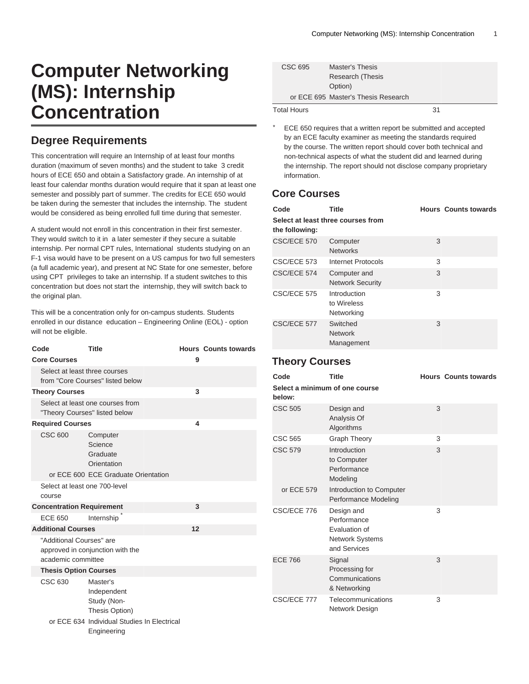# **Computer Networking (MS): Internship Concentration**

## **Degree Requirements**

This concentration will require an Internship of at least four months duration (maximum of seven months) and the student to take 3 credit hours of [ECE 650](/search/?P=ECE%20650) and obtain a Satisfactory grade. An internship of at least four calendar months duration would require that it span at least one semester and possibly part of summer. The credits for ECE 650 would be taken during the semester that includes the internship. The student would be considered as being enrolled full time during that semester.

A student would not enroll in this concentration in their first semester. They would switch to it in a later semester if they secure a suitable internship. Per normal CPT rules, International students studying on an F-1 visa would have to be present on a US campus for two full semesters (a full academic year), and present at NC State for one semester, before using CPT privileges to take an internship. If a student switches to this concentration but does not start the internship, they will switch back to the original plan.

This will be a concentration only for on-campus students. Students enrolled in our distance education – Engineering Online (EOL) - option will not be eligible.

| Code                                                              |  | <b>Title</b>                                                      |   | <b>Hours Counts towards</b> |
|-------------------------------------------------------------------|--|-------------------------------------------------------------------|---|-----------------------------|
| <b>Core Courses</b>                                               |  |                                                                   | 9 |                             |
|                                                                   |  | Select at least three courses<br>from "Core Courses" listed below |   |                             |
| <b>Theory Courses</b>                                             |  |                                                                   | 3 |                             |
| Select at least one courses from<br>"Theory Courses" listed below |  |                                                                   |   |                             |
| <b>Required Courses</b>                                           |  |                                                                   | 4 |                             |
| CSC 600                                                           |  | Computer<br>Science<br>Graduate<br>Orientation                    |   |                             |
|                                                                   |  | or ECE 600 ECE Graduate Orientation                               |   |                             |
|                                                                   |  | Select at least one 700-level                                     |   |                             |
| course                                                            |  |                                                                   |   |                             |
|                                                                   |  | <b>Concentration Requirement</b>                                  | 3 |                             |
| <b>ECE 650</b>                                                    |  | Internship                                                        |   |                             |
| <b>Additional Courses</b>                                         |  | 12                                                                |   |                             |
| academic committee                                                |  | "Additional Courses" are<br>approved in conjunction with the      |   |                             |
|                                                                   |  | <b>Thesis Option Courses</b>                                      |   |                             |
| CSC 630                                                           |  | Master's<br>Independent<br>Study (Non-<br>Thesis Option)          |   |                             |
|                                                                   |  | or ECE 634 Individual Studies In Electrical<br>Engineering        |   |                             |

| CSC 695            | <b>Master's Thesis</b>              |    |
|--------------------|-------------------------------------|----|
|                    | <b>Research (Thesis</b>             |    |
|                    | Option)                             |    |
|                    | or ECE 695 Master's Thesis Research |    |
| <b>Total Hours</b> |                                     | 31 |

ECE 650 requires that a written report be submitted and accepted by an ECE faculty examiner as meeting the standards required by the course. The written report should cover both technical and non-technical aspects of what the student did and learned during the internship. The report should not disclose company proprietary information.

## **Core Courses**

| Code           | Title                                     |   | <b>Hours Counts towards</b> |
|----------------|-------------------------------------------|---|-----------------------------|
| the following: | Select at least three courses from        |   |                             |
| CSC/ECE 570    | Computer<br><b>Networks</b>               | 3 |                             |
| CSC/ECE 573    | Internet Protocols                        | 3 |                             |
| CSC/ECE 574    | Computer and<br><b>Network Security</b>   | 3 |                             |
| CSC/ECE 575    | Introduction<br>to Wireless<br>Networking | 3 |                             |
| CSC/ECE 577    | Switched<br><b>Network</b><br>Management  | 3 |                             |

#### **Theory Courses**

| Code                                     | <b>Title</b>                                                                  |   | <b>Hours Counts towards</b> |
|------------------------------------------|-------------------------------------------------------------------------------|---|-----------------------------|
| Select a minimum of one course<br>helow: |                                                                               |   |                             |
| <b>CSC 505</b>                           | Design and<br>Analysis Of<br>Algorithms                                       | 3 |                             |
| CSC 565                                  | <b>Graph Theory</b>                                                           | 3 |                             |
| <b>CSC 579</b>                           | Introduction<br>to Computer<br>Performance<br>Modeling                        | 3 |                             |
| or ECE 579                               | Introduction to Computer<br>Performance Modeling                              |   |                             |
| CSC/ECE 776                              | Design and<br>Performance<br>Evaluation of<br>Network Systems<br>and Services | 3 |                             |
| <b>ECE 766</b>                           | Signal<br>Processing for<br>Communications<br>& Networking                    | 3 |                             |
| CSC/ECE 777                              | Telecommunications<br>Network Design                                          | 3 |                             |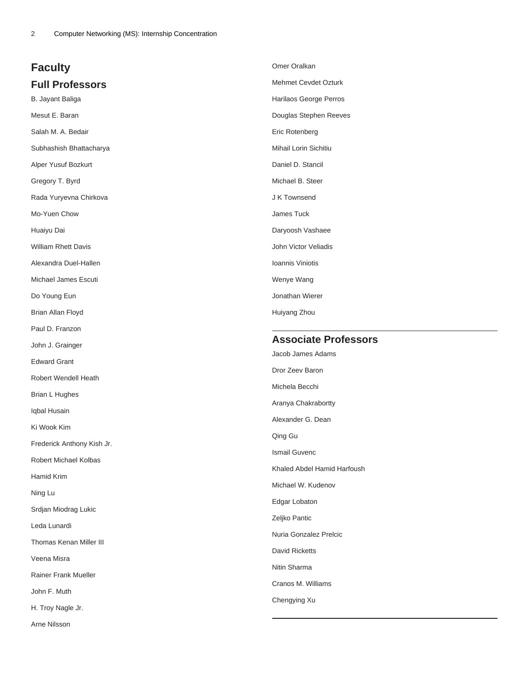# **Faculty Full Professors**

B. Jayant Baliga Mesut E. Baran Salah M. A. Bedair Subhashish Bhattacharya Alper Yusuf Bozkurt Gregory T. Byrd Rada Yuryevna Chirkova Mo-Yuen Chow Huaiyu Dai William Rhett Davis Alexandra Duel-Hallen Michael James Escuti

Do Young Eun

Brian Allan Floyd

Paul D. Franzon

John J. Grainger

Edward Grant

Robert Wendell Heath

Brian L Hughes

Iqbal Husain

Ki Wook Kim

Frederick Anthony Kish Jr.

Robert Michael Kolbas

Hamid Krim

Ning Lu

Srdjan Miodrag Lukic

Leda Lunardi

Thomas Kenan Miller III

Veena Misra

Rainer Frank Mueller

John F. Muth

H. Troy Nagle Jr.

Arne Nilsson

| Omer Oralkan                |
|-----------------------------|
| <b>Mehmet Cevdet Ozturk</b> |
| Harilaos George Perros      |
| Douglas Stephen Reeves      |
| Eric Rotenberg              |
| Mihail Lorin Sichitiu       |
| Daniel D. Stancil           |
| Michael B. Steer            |
| J K Townsend                |
| James Tuck                  |
| Daryoosh Vashaee            |
| John Victor Veliadis        |
| Ioannis Viniotis            |
| Wenye Wang                  |
| Jonathan Wierer             |
| Huiyang Zhou                |

#### **Associate Professors**

Jacob James Adams Dror Zeev Baron Michela Becchi Aranya Chakrabortty Alexander G. Dean Qing Gu Ismail Guvenc Khaled Abdel Hamid Harfoush Michael W. Kudenov Edgar Lobaton Zeljko Pantic Nuria Gonzalez Prelcic David Ricketts Nitin Sharma Cranos M. Williams Chengying Xu